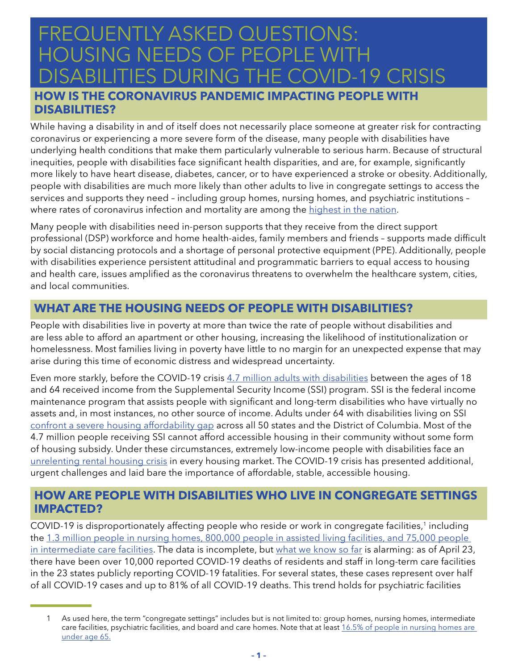# FREQUENTLY ASKED QUESTIONS: HOUSING NEEDS OF PEOPLE WITH<br>DISABILITIES DI IBING THE COVID 19 **LITIES DURING THE COVID-19 CRISIS**

# **HOW IS THE CORONAVIRUS PANDEMIC IMPACTING PEOPLE WITH DISABILITIES?**

While having a disability in and of itself does not necessarily place someone at greater risk for contracting coronavirus or experiencing a more severe form of the disease, many people with disabilities have underlying health conditions that make them particularly vulnerable to serious harm. Because of structural inequities, people with disabilities face significant health disparities, and are, for example, significantly more likely to have heart disease, diabetes, cancer, or to have experienced a stroke or obesity. Additionally, people with disabilities are much more likely than other adults to live in congregate settings to access the services and supports they need – including group homes, nursing homes, and psychiatric institutions – where rates of coronavirus infection and mortality are among the [highest in the nation.](https://www.kff.org/medicaid/issue-brief/state-reporting-of-cases-and-deaths-due-to-covid-19-in-long-term-care-facilities/)

Many people with disabilities need in-person supports that they receive from the direct support professional (DSP) workforce and home health-aides, family members and friends – supports made difficult by social distancing protocols and a shortage of personal protective equipment (PPE). Additionally, people with disabilities experience persistent attitudinal and programmatic barriers to equal access to housing and health care, issues amplified as the coronavirus threatens to overwhelm the healthcare system, cities, and local communities.

# **WHAT ARE THE HOUSING NEEDS OF PEOPLE WITH DISABILITIES?**

People with disabilities live in poverty at more than twice the rate of people without disabilities and are less able to afford an apartment or other housing, increasing the likelihood of institutionalization or homelessness. Most families living in poverty have little to no margin for an unexpected expense that may arise during this time of economic distress and widespread uncertainty.

Even more starkly, before the COVID-19 crisis [4.7 million adults with disabilities](https://www.ssa.gov/policy/docs/statcomps/ssi_sc/2018/ssi_sc18.pdf) between the ages of 18 and 64 received income from the Supplemental Security Income (SSI) program. SSI is the federal income maintenance program that assists people with significant and long-term disabilities who have virtually no assets and, in most instances, no other source of income. Adults under 64 with disabilities living on SSI [confront a severe housing affordability gap](http://www.tacinc.org/knowledge-resources/priced-out-v2/) across all 50 states and the District of Columbia. Most of the 4.7 million people receiving SSI cannot afford accessible housing in their community without some form of housing subsidy. Under these circumstances, extremely low-income people with disabilities face an [unrelenting rental housing crisis](http://www.tacinc.org/knowledge-resources/priced-out-v2/) in every housing market. The COVID-19 crisis has presented additional, urgent challenges and laid bare the importance of affordable, stable, accessible housing.

#### **HOW ARE PEOPLE WITH DISABILITIES WHO LIVE IN CONGREGATE SETTINGS IMPACTED?**

COVID-19 is disproportionately affecting people who reside or work in congregate facilities,<sup>1</sup> including the 1.3 million people in nursing homes, 800,000 people in assisted living facilities, and 75,000 people [in intermediate care facilities](https://www.kff.org/medicaid/issue-brief/covid-19-issues-and-medicaid-policy-options-for-people-who-need-long-term-services-and-supports/). The data is incomplete, but [what we know so far](http://thearc.org/wp-content/uploads/2020/04/FINAL-Amicus-Brief-Wisconsin-Legislature-v-Andrea-Palm.pdf) is alarming: as of April 23, there have been over 10,000 reported COVID-19 deaths of residents and staff in long-term care facilities in the 23 states publicly reporting COVID-19 fatalities. For several states, these cases represent over half of all COVID-19 cases and up to 81% of all COVID-19 deaths. This trend holds for psychiatric facilities

As used here, the term "congregate settings" includes but is not limited to: group homes, nursing homes, intermediate care facilities, psychiatric facilities, and board and care homes. Note that at least [16.5% of people in nursing homes are](https://www.cdc.gov/nchs/data/series/sr_03/sr03_43-508.pdf)  [under age 65.](https://www.cdc.gov/nchs/data/series/sr_03/sr03_43-508.pdf)